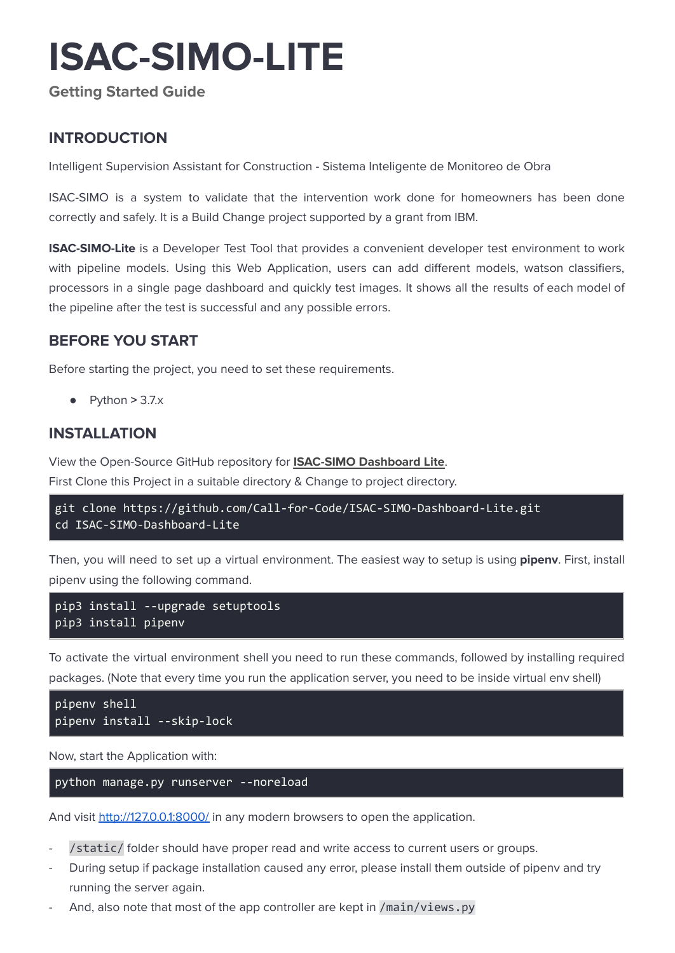# **ISAC-SIMO-LITE**

**Getting Started Guide**

## **INTRODUCTION**

Intelligent Supervision Assistant for Construction - Sistema Inteligente de Monitoreo de Obra

ISAC-SIMO is a system to validate that the intervention work done for homeowners has been done correctly and safely. It is a Build Change project supported by a grant from IBM.

**ISAC-SIMO-Lite** is a Developer Test Tool that provides a convenient developer test environment to work with pipeline models. Using this Web Application, users can add different models, watson classifiers, processors in a single page dashboard and quickly test images. It shows all the results of each model of the pipeline after the test is successful and any possible errors.

## **BEFORE YOU START**

Before starting the project, you need to set these requirements.

● Python **>** 3.7.x

## **INSTALLATION**

View the Open-Source GitHub repository for **[ISAC-SIMO](https://github.com/Call-for-Code/ISAC-SIMO-Dashboard-Lite) Dashboard Lite**. First Clone this Project in a suitable directory & Change to project directory.

```
git clone https://github.com/Call-for-Code/ISAC-SIMO-Dashboard-Lite.git
cd ISAC-SIMO-Dashboard-Lite
```
Then, you will need to set up a virtual environment. The easiest way to setup is using **pipenv**. First, install pipenv using the following command.

```
pip3 install --upgrade setuptools
pip3 install pipenv
```
To activate the virtual environment shell you need to run these commands, followed by installing required packages. (Note that every time you run the application server, you need to be inside virtual env shell)

```
pipenv shell
pipenv install --skip-lock
```
Now, start the Application with:

python manage.py runserver --noreload

And visit <http://127.0.0.1:8000/> in any modern browsers to open the application.

- /static/ folder should have proper read and write access to current users or groups.
- During setup if package installation caused any error, please install them outside of pipenv and try running the server again.
- And, also note that most of the app controller are kept in /main/views.py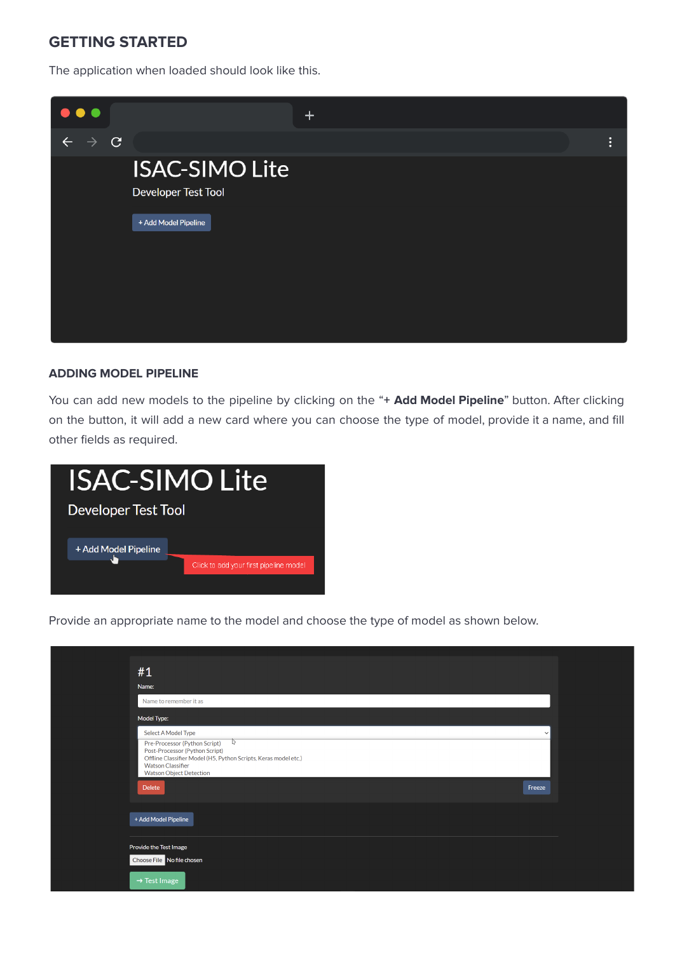## **GETTING STARTED**

The application when loaded should look like this.



#### **ADDING MODEL PIPELINE**

You can add new models to the pipeline by clicking on the "**+ Add Model Pipeline**" button. After clicking on the button, it will add a new card where you can choose the type of model, provide it a name, and fill other fields as required.



Provide an appropriate name to the model and choose the type of model as shown below.

| #1<br>Name:<br>Name to remember it as<br>Model Type:<br>Select A Model Type<br>$\vee$<br>₽<br>Pre-Processor (Python Script)<br>Post-Processor (Python Script)<br>Offline Classifier Model (H5, Python Scripts, Keras model etc.)<br><b>Watson Classifier</b><br><b>Watson Object Detection</b><br><b>Delete</b><br>Freeze | + Add Model Pipeline |                          |
|---------------------------------------------------------------------------------------------------------------------------------------------------------------------------------------------------------------------------------------------------------------------------------------------------------------------------|----------------------|--------------------------|
|                                                                                                                                                                                                                                                                                                                           |                      |                          |
|                                                                                                                                                                                                                                                                                                                           |                      |                          |
|                                                                                                                                                                                                                                                                                                                           |                      |                          |
|                                                                                                                                                                                                                                                                                                                           |                      |                          |
|                                                                                                                                                                                                                                                                                                                           |                      |                          |
| Provide the Test Image                                                                                                                                                                                                                                                                                                    |                      |                          |
| Choose File No file chosen                                                                                                                                                                                                                                                                                                |                      | $\rightarrow$ Test Image |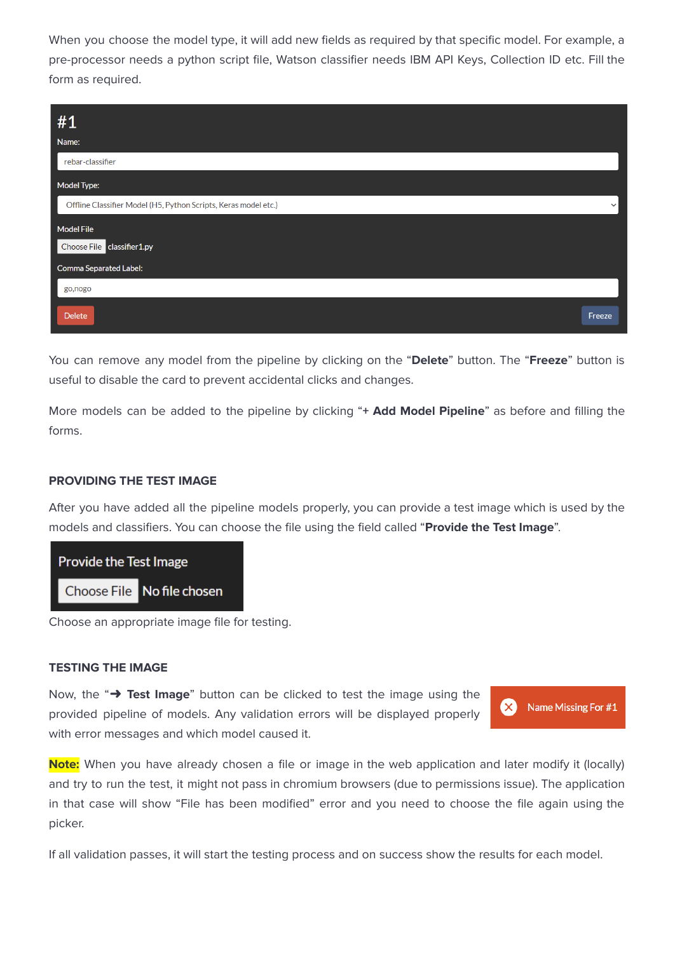When you choose the model type, it will add new fields as required by that specific model. For example, a pre-processor needs a python script file, Watson classifier needs IBM API Keys, Collection ID etc. Fill the form as required.

| #1                                                              |              |
|-----------------------------------------------------------------|--------------|
| Name:                                                           |              |
| rebar-classifier                                                |              |
| Model Type:                                                     |              |
| Offline Classifier Model (H5, Python Scripts, Keras model etc.) | $\checkmark$ |
| <b>Model File</b>                                               |              |
| Choose File classifier 1.py                                     |              |
| <b>Comma Separated Label:</b>                                   |              |
| go,nogo                                                         |              |
| <b>Delete</b>                                                   | Freeze       |

You can remove any model from the pipeline by clicking on the "**Delete**" button. The "**Freeze**" button is useful to disable the card to prevent accidental clicks and changes.

More models can be added to the pipeline by clicking "**+ Add Model Pipeline**" as before and filling the forms.

#### **PROVIDING THE TEST IMAGE**

After you have added all the pipeline models properly, you can provide a test image which is used by the models and classifiers. You can choose the file using the field called "**Provide the Test Image**".



Choose an appropriate image file for testing.

#### **TESTING THE IMAGE**

Now, the "➜ **Test Image**" button can be clicked to test the image using the provided pipeline of models. Any validation errors will be displayed properly with error messages and which model caused it.



**Note:** When you have already chosen a file or image in the web application and later modify it (locally) and try to run the test, it might not pass in chromium browsers (due to permissions issue). The application in that case will show "File has been modified" error and you need to choose the file again using the picker.

If all validation passes, it will start the testing process and on success show the results for each model.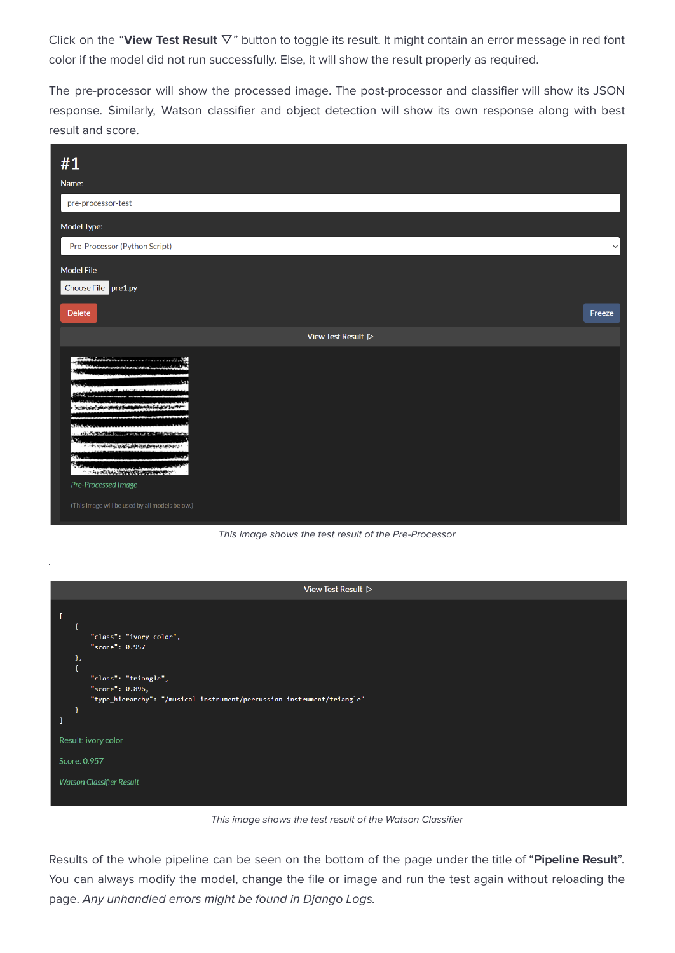Click on the "**View Test Result** ▽" button to toggle its result. It might contain an error message in red font color if the model did not run successfully. Else, it will show the result properly as required.

The pre-processor will show the processed image. The post-processor and classifier will show its JSON response. Similarly, Watson classifier and object detection will show its own response along with best result and score.

| #1<br>Name:                                                                                                                                                                                                                                                                                            |              |
|--------------------------------------------------------------------------------------------------------------------------------------------------------------------------------------------------------------------------------------------------------------------------------------------------------|--------------|
| pre-processor-test                                                                                                                                                                                                                                                                                     |              |
| Model Type:                                                                                                                                                                                                                                                                                            |              |
| Pre-Processor (Python Script)                                                                                                                                                                                                                                                                          | $\checkmark$ |
| <b>Model File</b>                                                                                                                                                                                                                                                                                      |              |
| Choose File pre1.py                                                                                                                                                                                                                                                                                    |              |
| <b>Delete</b>                                                                                                                                                                                                                                                                                          | Freeze       |
| View Test Result $\triangleright$                                                                                                                                                                                                                                                                      |              |
| <b>APR</b><br>41.917<br><b><i><u>East the Methods Les</u></i></b><br>TO BY DIE ORIGINAL<br><b>RIGAS</b><br>Ã.<br>っているいとうときとうからのからのからのからのからいというとう<br><b>BALLA</b><br>传统<br>- The office to the state of the state of the state<br>Pre-Processed Image<br>(This Image will be used by all models below.) |              |

This image shows the test result of the Pre-Processor

.

| View Test Result $\triangleright$                                      |
|------------------------------------------------------------------------|
|                                                                        |
| I                                                                      |
|                                                                        |
| "class": "ivory color",<br>"score": 0.957                              |
| },                                                                     |
| €                                                                      |
| "class": "triangle",                                                   |
| "score": 0.896,                                                        |
| "type_hierarchy": "/musical instrument/percussion instrument/triangle" |
| ı                                                                      |
| 1                                                                      |
| Result: ivory color                                                    |
|                                                                        |
| Score: 0.957                                                           |
|                                                                        |
| <b>Watson Classifier Result</b>                                        |
|                                                                        |
|                                                                        |

This image shows the test result of the Watson Classifier

Results of the whole pipeline can be seen on the bottom of the page under the title of "**Pipeline Result**". You can always modify the model, change the file or image and run the test again without reloading the page. Any unhandled errors might be found in Django Logs.